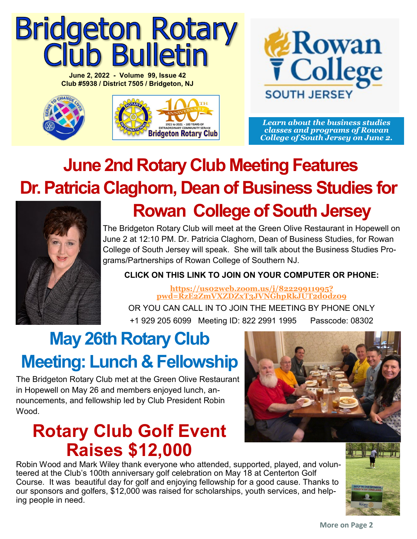# **Bridgeton Rotary<br>Club Bulletin**

**June 2, 2022 - Volume 99, Issue 42 Club #5938 / District 7505 / Bridgeton, NJ**





*Learn about the business studies classes and programs of Rowan College of South Jersey on June 2.*

# **June 2nd Rotary Club Meeting Features Dr. Patricia Claghorn, Dean of Business Studies for**



# **Rowan College of South Jersey**

The Bridgeton Rotary Club will meet at the Green Olive Restaurant in Hopewell on June 2 at 12:10 PM. Dr. Patricia Claghorn, Dean of Business Studies, for Rowan College of South Jersey will speak. She will talk about the Business Studies Programs/Partnerships of Rowan College of Southern NJ.

### **CLICK ON THIS LINK TO JOIN ON YOUR COMPUTER OR PHONE:**

**[https://us02web.zoom.us/j/82229911995?](https://us02web.zoom.us/j/82229911995?pwd=RzE2ZmVXZDZxT3JVNGhpRkJUT2d0dz09) [pwd=RzE2ZmVXZDZxT3JVNGhpRkJUT2d0dz09](https://us02web.zoom.us/j/82229911995?pwd=RzE2ZmVXZDZxT3JVNGhpRkJUT2d0dz09)** 

OR YOU CAN CALL IN TO JOIN THE MEETING BY PHONE ONLY +1 929 205 6099 Meeting ID: 822 2991 1995 Passcode: 08302

## **May 26th Rotary Club Meeting: Lunch & Fellowship**

The Bridgeton Rotary Club met at the Green Olive Restaurant in Hopewell on May 26 and members enjoyed lunch, announcements, and fellowship led by Club President Robin Wood.

## **Rotary Club Golf Event Raises \$12,000**

Robin Wood and Mark Wiley thank everyone who attended, supported, played, and volunteered at the Club's 100th anniversary golf celebration on May 18 at Centerton Golf Course. It was beautiful day for golf and enjoying fellowship for a good cause. Thanks to our sponsors and golfers, \$12,000 was raised for scholarships, youth services, and helping people in need.